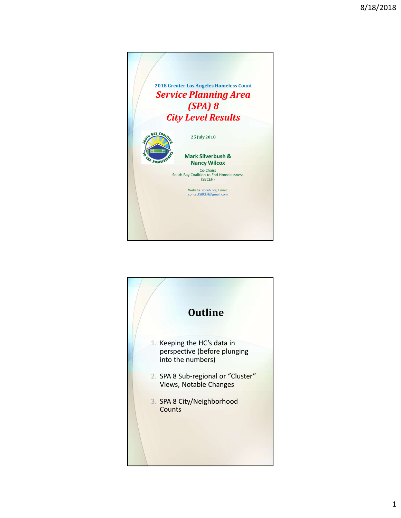

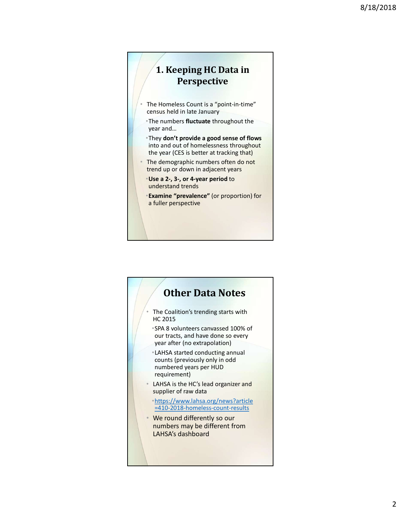## 1. Keeping HC Data in Perspective

- The Homeless Count is a "point-in-time" census held in late January
- •The numbers fluctuate throughout the year and…
- •They don't provide a good sense of flows into and out of homelessness throughout the year (CES is better at tracking that)
- The demographic numbers often do not trend up or down in adjacent years
	- •Use a 2-, 3-, or 4-year period to understand trends
	- •Examine "prevalence" (or proportion) for a fuller perspective

## The Coalition's trending starts with HC 2015 •SPA 8 volunteers canvassed 100% of our tracts, and have done so every year after (no extrapolation) •LAHSA started conducting annual counts (previously only in odd numbered years per HUD requirement) • LAHSA is the HC's lead organizer and supplier of raw data •https://www.lahsa.org/news?article =410-2018-homeless-count-results • We round differently so our numbers may be different from LAHSA's dashboard Other Data Notes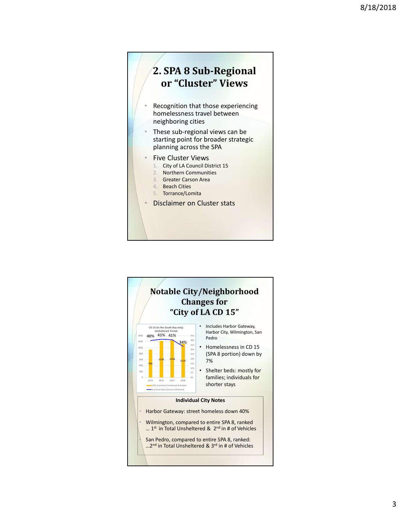

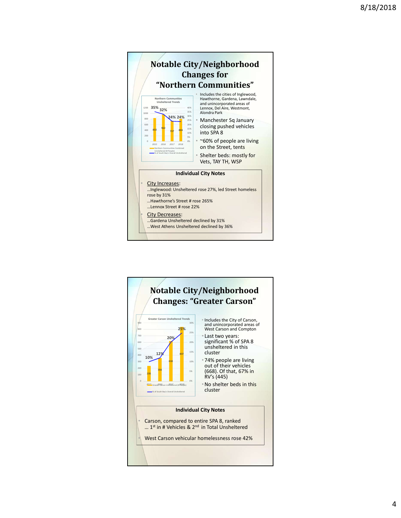